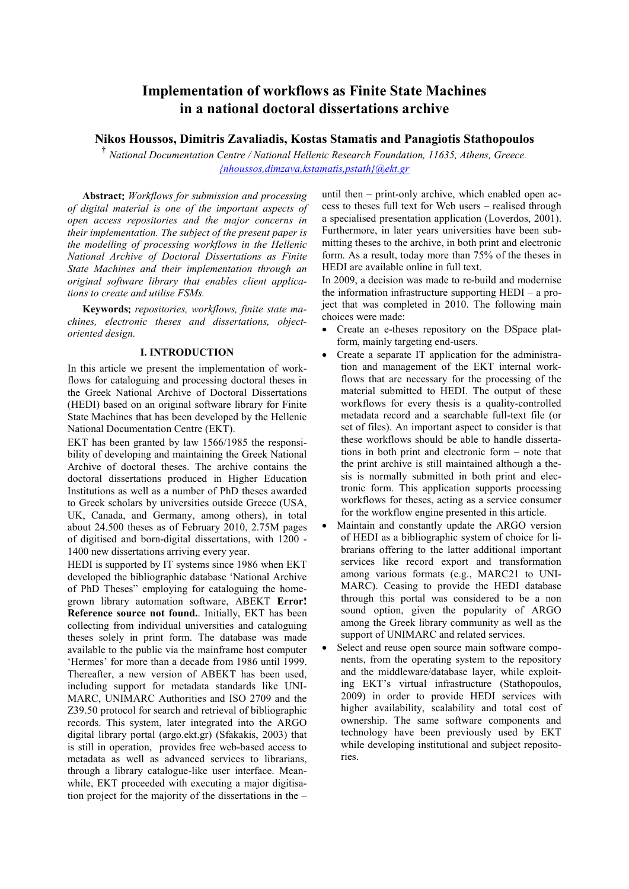# **Implementation of workflows as Finite State Machines in a national doctoral dissertations archive**

# **ikos Houssos, Dimitris Zavaliadis, Kostas Stamatis and Panagiotis Stathopoulos**

<sup>†</sup> National Documentation Centre / National Hellenic Research Foundation, 11635, Athens, Greece. *{nhoussos,dimzava,kstamatis,pstath}@ekt.gr*

**Abstract**: *Workflows for submission and processing of digital material is one of the important aspects of open access repositories and the major concerns in their implementation. The subject of the present paper is the modelling of processing workflows in the Hellenic ational Archive of Doctoral Dissertations as Finite State Machines and their implementation through an original software library that enables client applications to create and utilise FSMs.* 

**Keywords**: *repositories, workflows, finite state machines, electronic theses and dissertations, objectoriented design.* 

#### **I. INTRODUCTION**

In this article we present the implementation of workflows for cataloguing and processing doctoral theses in the Greek National Archive of Doctoral Dissertations (HEDI) based on an original software library for Finite State Machines that has been developed by the Hellenic National Documentation Centre (EKT).

EKT has been granted by law 1566/1985 the responsibility of developing and maintaining the Greek National Archive of doctoral theses. The archive contains the doctoral dissertations produced in Higher Education Institutions as well as a number of PhD theses awarded to Greek scholars by universities outside Greece (USA, UK, Canada, and Germany, among others), in total about 24.500 theses as of February 2010, 2.75M pages of digitised and born-digital dissertations, with 1200 - 1400 new dissertations arriving every year.

HEDI is supported by IT systems since 1986 when EKT developed the bibliographic database 'National Archive of PhD Theses" employing for cataloguing the homegrown library automation software, ABEKT **Error! Reference source not found.**. Initially, EKT has been collecting from individual universities and cataloguing theses solely in print form. The database was made available to the public via the mainframe host computer 'Hermes' for more than a decade from 1986 until 1999. Thereafter, a new version of ABEKT has been used, including support for metadata standards like UNI-MARC, UNIMARC Authorities and ISO 2709 and the Z39.50 protocol for search and retrieval of bibliographic records. This system, later integrated into the ARGO digital library portal (argo.ekt.gr) (Sfakakis, 2003) that is still in operation, provides free web-based access to metadata as well as advanced services to librarians through a library catalogue-like user interface. Meanwhile, EKT proceeded with executing a major digitisation project for the majority of the dissertations in the –

until then – print-only archive, which enabled open access to theses full text for Web users – realised through a specialised presentation application (Loverdos, 2001). Furthermore, in later years universities have been submitting theses to the archive, in both print and electronic form. As a result, today more than 75% of the theses in HEDI are available online in full text.

In 2009, a decision was made to re-build and modernise the information infrastructure supporting HEDI – a project that was completed in 2010. The following main choices were made:

- Create an e-theses repository on the DSpace platform, mainly targeting end-users.
- Create a separate IT application for the administration and management of the EKT internal workflows that are necessary for the processing of the material submitted to HEDI. The output of these workflows for every thesis is a quality-controlled metadata record and a searchable full-text file (or set of files). An important aspect to consider is that these workflows should be able to handle dissertations in both print and electronic form – note that the print archive is still maintained although a thesis is normally submitted in both print and electronic form. This application supports processing workflows for theses, acting as a service consumer for the workflow engine presented in this article.
- Maintain and constantly update the ARGO version of HEDI as a bibliographic system of choice for librarians offering to the latter additional important services like record export and transformation among various formats (e.g., MARC21 to UNI-MARC). Ceasing to provide the HEDI database through this portal was considered to be a non sound option, given the popularity of ARGO among the Greek library community as well as the support of UNIMARC and related services.
- Select and reuse open source main software components, from the operating system to the repository and the middleware/database layer, while exploiting EKT's virtual infrastructure (Stathopoulos, 2009) in order to provide HEDI services with higher availability, scalability and total cost of ownership. The same software components and technology have been previously used by EKT while developing institutional and subject repositories.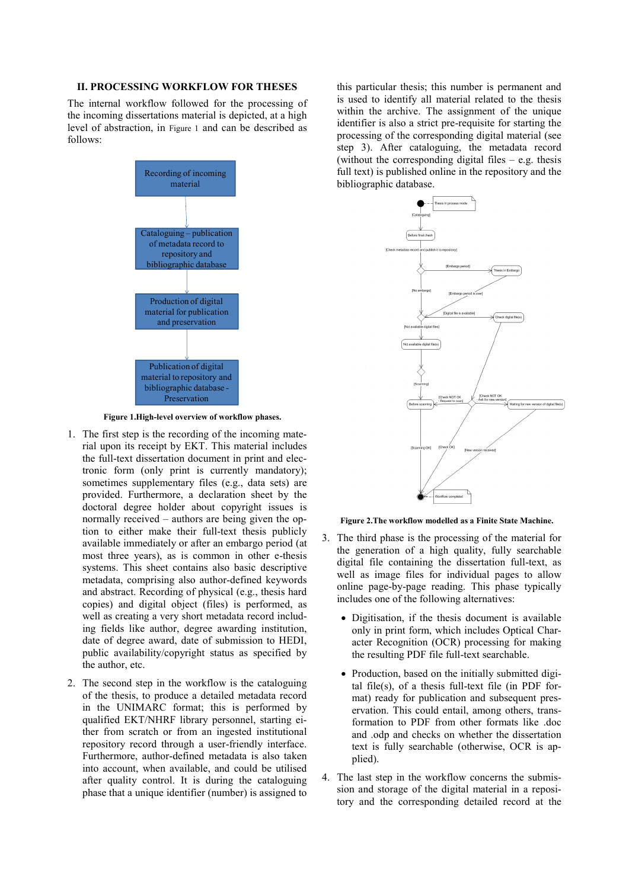## **II. PROCESSIG WORKFLOW FOR THESES**

The internal workflow followed for the processing of the incoming dissertations material is depicted, at a high level of abstraction, in Figure 1 and can be described as follows:



**Figure 1.High-level overview of workflow phases.** 

- 1. The first step is the recording of the incoming material upon its receipt by EKT. This material includes the full-text dissertation document in print and electronic form (only print is currently mandatory); sometimes supplementary files (e.g., data sets) are provided. Furthermore, a declaration sheet by the doctoral degree holder about copyright issues is normally received – authors are being given the option to either make their full-text thesis publicly available immediately or after an embargo period (at most three years), as is common in other e-thesis systems. This sheet contains also basic descriptive metadata, comprising also author-defined keywords and abstract. Recording of physical (e.g., thesis hard copies) and digital object (files) is performed, as well as creating a very short metadata record including fields like author, degree awarding institution, date of degree award, date of submission to HEDI, public availability/copyright status as specified by the author, etc.
- 2. The second step in the workflow is the cataloguing of the thesis, to produce a detailed metadata record in the UNIMARC format; this is performed by qualified EKT/NHRF library personnel, starting either from scratch or from an ingested institutional repository record through a user-friendly interface. Furthermore, author-defined metadata is also taken into account, when available, and could be utilised after quality control. It is during the cataloguing phase that a unique identifier (number) is assigned to

this particular thesis; this number is permanent and is used to identify all material related to the thesis within the archive. The assignment of the unique identifier is also a strict pre-requisite for starting the processing of the corresponding digital material (see step 3). After cataloguing, the metadata record (without the corresponding digital files – e.g. thesis full text) is published online in the repository and the bibliographic database.



**Figure 2.The workflow modelled as a Finite State Machine.** 

- 3. The third phase is the processing of the material for the generation of a high quality, fully searchable digital file containing the dissertation full-text, as well as image files for individual pages to allow online page-by-page reading. This phase typically includes one of the following alternatives:
	- Digitisation, if the thesis document is available only in print form, which includes Optical Character Recognition (OCR) processing for making the resulting PDF file full-text searchable.
	- Production, based on the initially submitted digital file(s), of a thesis full-text file (in PDF format) ready for publication and subsequent preservation. This could entail, among others, transformation to PDF from other formats like .doc and .odp and checks on whether the dissertation text is fully searchable (otherwise, OCR is applied).
- 4. The last step in the workflow concerns the submission and storage of the digital material in a repository and the corresponding detailed record at the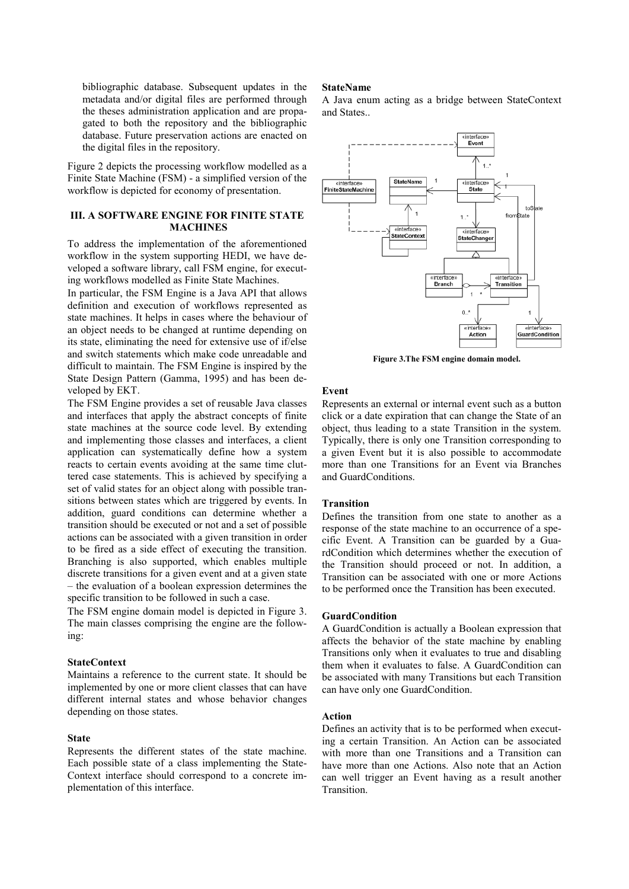bibliographic database. Subsequent updates in the metadata and/or digital files are performed through the theses administration application and are propagated to both the repository and the bibliographic database. Future preservation actions are enacted on the digital files in the repository.

Figure 2 depicts the processing workflow modelled as a Finite State Machine (FSM) - a simplified version of the workflow is depicted for economy of presentation.

# **III. A SOFTWARE ENGINE FOR FINITE STATE MACHINES**

To address the implementation of the aforementioned workflow in the system supporting HEDI, we have developed a software library, call FSM engine, for executing workflows modelled as Finite State Machines.

In particular, the FSM Engine is a Java API that allows definition and execution of workflows represented as state machines. It helps in cases where the behaviour of an object needs to be changed at runtime depending on its state, eliminating the need for extensive use of if/else and switch statements which make code unreadable and difficult to maintain. The FSM Engine is inspired by the State Design Pattern (Gamma, 1995) and has been developed by EKT.

The FSM Engine provides a set of reusable Java classes and interfaces that apply the abstract concepts of finite state machines at the source code level. By extending and implementing those classes and interfaces, a client application can systematically define how a system reacts to certain events avoiding at the same time cluttered case statements. This is achieved by specifying a set of valid states for an object along with possible transitions between states which are triggered by events. In addition, guard conditions can determine whether a transition should be executed or not and a set of possible actions can be associated with a given transition in order to be fired as a side effect of executing the transition. Branching is also supported, which enables multiple discrete transitions for a given event and at a given state – the evaluation of a boolean expression determines the specific transition to be followed in such a case.

The FSM engine domain model is depicted in Figure 3. The main classes comprising the engine are the following:

#### **StateContext**

Maintains a reference to the current state. It should be implemented by one or more client classes that can have different internal states and whose behavior changes depending on those states.

#### **State**

Represents the different states of the state machine. Each possible state of a class implementing the State-Context interface should correspond to a concrete implementation of this interface.

#### **StateName**

A Java enum acting as a bridge between StateContext and States..



**Figure 3.The FSM engine domain model.** 

## **Event**

Represents an external or internal event such as a button click or a date expiration that can change the State of an object, thus leading to a state Transition in the system. Typically, there is only one Transition corresponding to a given Event but it is also possible to accommodate more than one Transitions for an Event via Branches and GuardConditions.

## **Transition**

Defines the transition from one state to another as a response of the state machine to an occurrence of a specific Event. A Transition can be guarded by a GuardCondition which determines whether the execution of the Transition should proceed or not. In addition, a Transition can be associated with one or more Actions to be performed once the Transition has been executed.

#### **GuardCondition**

A GuardCondition is actually a Boolean expression that affects the behavior of the state machine by enabling Transitions only when it evaluates to true and disabling them when it evaluates to false. A GuardCondition can be associated with many Transitions but each Transition can have only one GuardCondition.

#### **Action**

Defines an activity that is to be performed when executing a certain Transition. An Action can be associated with more than one Transitions and a Transition can have more than one Actions. Also note that an Action can well trigger an Event having as a result another Transition.